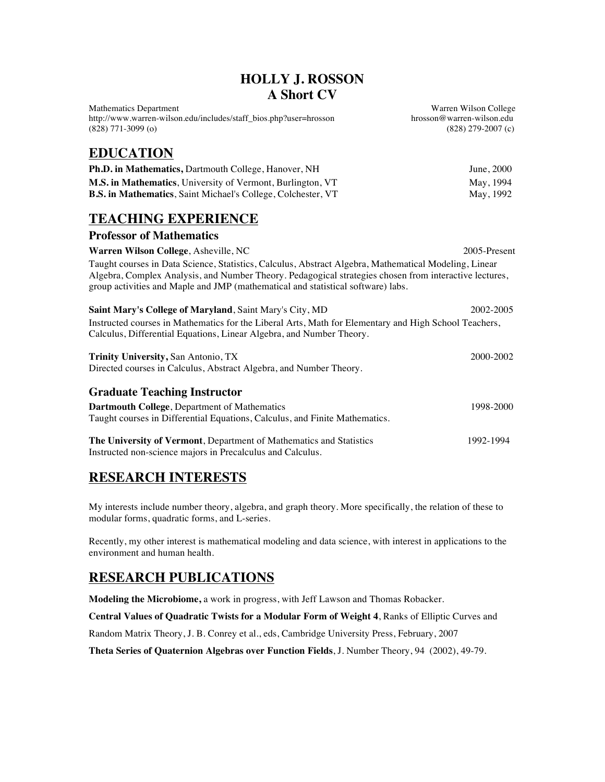#### **HOLLY J. ROSSON A Short CV**

Mathematics Department<br>http://www.warren-wilson.edu/includes/staff\_bios.php?user=hrosson enterprison of the prosson @warren-wilson.edu http://www.warren-wilson.edu/includes/staff\_bios.php?user=hrosson (828) 771-3099 (o) (828) 279-2007 (c)

# **EDUCATION**

| <b>Ph.D. in Mathematics, Dartmouth College, Hanover, NH</b>         | June, 2000 |
|---------------------------------------------------------------------|------------|
| <b>M.S. in Mathematics</b> , University of Vermont, Burlington, VT  | May, 1994  |
| <b>B.S. in Mathematics, Saint Michael's College, Colchester, VT</b> | May, 1992  |

# **TEACHING EXPERIENCE**

| <b>Professor of Mathematics</b>                                                                                                                                                                                                                                                                     |              |
|-----------------------------------------------------------------------------------------------------------------------------------------------------------------------------------------------------------------------------------------------------------------------------------------------------|--------------|
| <b>Warren Wilson College, Asheville, NC</b>                                                                                                                                                                                                                                                         | 2005-Present |
| Taught courses in Data Science, Statistics, Calculus, Abstract Algebra, Mathematical Modeling, Linear<br>Algebra, Complex Analysis, and Number Theory. Pedagogical strategies chosen from interactive lectures,<br>group activities and Maple and JMP (mathematical and statistical software) labs. |              |
| <b>Saint Mary's College of Maryland, Saint Mary's City, MD</b>                                                                                                                                                                                                                                      | 2002-2005    |
| Instructed courses in Mathematics for the Liberal Arts, Math for Elementary and High School Teachers,                                                                                                                                                                                               |              |
| Calculus, Differential Equations, Linear Algebra, and Number Theory.                                                                                                                                                                                                                                |              |

| <b>Trinity University, San Antonio, TX</b><br>Directed courses in Calculus, Abstract Algebra, and Number Theory. | 2000-2002 |
|------------------------------------------------------------------------------------------------------------------|-----------|
| <b>Graduate Teaching Instructor</b><br><b>Dartmouth College, Department of Mathematics</b>                       | 1998-2000 |
| Taught courses in Differential Equations, Calculus, and Finite Mathematics.                                      |           |
| The University of Vermont, Department of Mathematics and Statistics                                              | 1992-1994 |

# **RESEARCH INTERESTS**

Instructed non-science majors in Precalculus and Calculus.

My interests include number theory, algebra, and graph theory. More specifically, the relation of these to modular forms, quadratic forms, and L-series.

Recently, my other interest is mathematical modeling and data science, with interest in applications to the environment and human health.

# **RESEARCH PUBLICATIONS**

**Modeling the Microbiome,** a work in progress, with Jeff Lawson and Thomas Robacker.

**Central Values of Quadratic Twists for a Modular Form of Weight 4**, Ranks of Elliptic Curves and

Random Matrix Theory, J. B. Conrey et al., eds, Cambridge University Press, February, 2007

**Theta Series of Quaternion Algebras over Function Fields**, J. Number Theory, 94 (2002), 49-79.